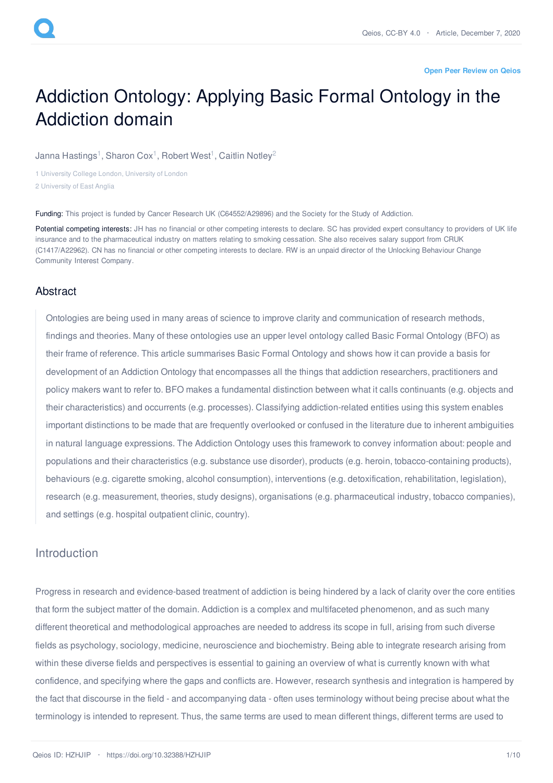#### **Open Peer [Review](https://www.qeios.com/read/HZHJIP#reviews) on Qeios**

# Addiction Ontology: Applying Basic Formal Ontology in the Addiction domain

Janna [Hastings](https://www.qeios.com/profile/1812)<sup>1</sup>, [Sharon](https://www.qeios.com/profile/1808) Cox<sup>1</sup>, [Robert](https://www.qeios.com/profile/1567) West<sup>1</sup>, [Caitlin](https://www.qeios.com/profile/2021) Notley<sup>2</sup>

1 University College London, University of London 2 University of East Anglia

Funding: This project is funded by Cancer Research UK (C64552/A29896) and the Society for the Study of Addiction.

Potential competing interests: JH has no financial or other competing interests to declare. SC has provided expert consultancy to providers of UK life insurance and to the pharmaceutical industry on matters relating to smoking cessation. She also receives salary support from CRUK (C1417/A22962). CN has no financial or other competing interests to declare. RW is an unpaid director of the Unlocking Behaviour Change Community Interest Company.

## **Abstract**

Ontologies are being used in many areas of science to improve clarity and communication of research methods, findings and theories. Many of these ontologies use an upper level ontology called Basic Formal Ontology (BFO) as their frame of reference. This article summarises Basic Formal Ontology and shows how it can provide a basis for development of an Addiction Ontology that encompasses all the things that addiction researchers, practitioners and policy makers want to refer to. BFO makes a fundamental distinction between what it calls continuants (e.g. objects and their characteristics) and occurrents (e.g. processes). Classifying addiction-related entities using this system enables important distinctions to be made that are frequently overlooked or confused in the literature due to inherent ambiguities in natural language expressions. The Addiction Ontology uses this framework to convey information about: people and populations and their characteristics (e.g. substance use disorder), products (e.g. heroin, tobacco-containing products), behaviours (e.g. cigarette smoking, alcohol consumption), interventions (e.g. detoxification, rehabilitation, legislation), research (e.g. measurement, theories, study designs), organisations (e.g. pharmaceutical industry, tobacco companies), and settings (e.g. hospital outpatient clinic, country).

## Introduction

Progress in research and evidence-based treatment of addiction is being hindered by a lack of clarity over the core entities that form the subject matter of the domain. Addiction is a complex and multifaceted phenomenon, and as such many different theoretical and methodological approaches are needed to address its scope in full, arising from such diverse fields as psychology, sociology, medicine, neuroscience and biochemistry. Being able to integrate research arising from within these diverse fields and perspectives is essential to gaining an overview of what is currently known with what confidence, and specifying where the gaps and conflicts are. However, research synthesis and integration is hampered by the fact that discourse in the field - and accompanying data - often uses terminology without being precise about what the terminology is intended to represent. Thus, the same terms are used to mean different things, different terms are used to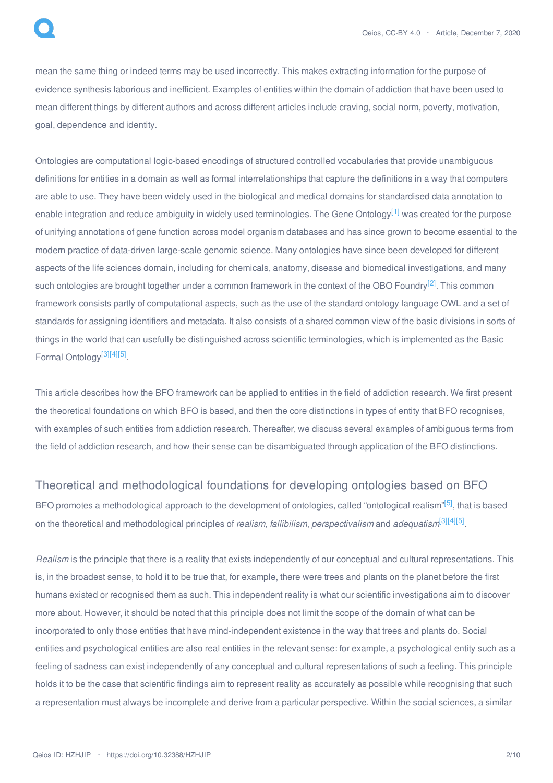mean the same thing or indeed terms may be used incorrectly. This makes extracting information for the purpose of evidence synthesis laborious and inefficient. Examples of entities within the domain of addiction that have been used to mean different things by different authors and across different articles include craving, social norm, poverty, motivation, goal, dependence and identity.

<span id="page-1-0"></span>Ontologies are computational logic-based encodings of structured controlled vocabularies that provide unambiguous definitions for entities in a domain as well as formal interrelationships that capture the definitions in a way that computers are able to use. They have been widely used in the biological and medical domains for standardised data annotation to enable integration and reduce ambiguity in widely used terminologies. The Gene Ontology<sup>[\[1\]](#page-8-0)</sup> was created for the purpose of unifying annotations of gene function across model organism databases and has since grown to become essential to the modern practice of data-driven large-scale genomic science. Many ontologies have since been developed for different aspects of the life sciences domain, including for chemicals, anatomy, disease and biomedical investigations, and many such ontologies are brought together under a common framework in the context of the OBO Foundry<sup>[\[2\]](#page-8-1)</sup>. This common framework consists partly of computational aspects, such as the use of the standard ontology language OWL and a set of standards for assigning identifiers and metadata. It also consists of a shared common view of the basic divisions in sorts of things in the world that can usefully be distinguished across scientific terminologies, which is implemented as the Basic Formal Ontology<sup>[\[3\]](#page-8-2)[\[4\]](#page-9-0)[\[5\]](#page-9-1)</sup>.

<span id="page-1-6"></span><span id="page-1-4"></span><span id="page-1-2"></span><span id="page-1-1"></span>This article describes how the BFO framework can be applied to entities in the field of addiction research. We first present the theoretical foundations on which BFO is based, and then the core distinctions in types of entity that BFO recognises, with examples of such entities from addiction research. Thereafter, we discuss several examples of ambiguous terms from the field of addiction research, and how their sense can be disambiguated through application of the BFO distinctions.

# Theoretical and methodological foundations for developing ontologies based on BFO

<span id="page-1-8"></span><span id="page-1-7"></span><span id="page-1-5"></span><span id="page-1-3"></span>BFO promotes a methodological approach to the development of ontologies, called "ontological realism"<sup>[\[5\]](#page-9-1)</sup>, that is based on the theoretical and methodological principles of *realism*, *fallibilism*, *perspectivalism* and *adequatism*[\[3\]](#page-8-2)[\[4\]](#page-9-0)[\[5\]](#page-9-1) .

*Realism* is the principle that there is a reality that exists independently of our conceptual and cultural representations. This is, in the broadest sense, to hold it to be true that, for example, there were trees and plants on the planet before the first humans existed or recognised them as such. This independent reality is what our scientific investigations aim to discover more about. However, it should be noted that this principle does not limit the scope of the domain of what can be incorporated to only those entities that have mind-independent existence in the way that trees and plants do. Social entities and psychological entities are also real entities in the relevant sense: for example, a psychological entity such as a feeling of sadness can exist independently of any conceptual and cultural representations of such a feeling. This principle holds it to be the case that scientific findings aim to represent reality as accurately as possible while recognising that such a representation must always be incomplete and derive from a particular perspective. Within the social sciences, a similar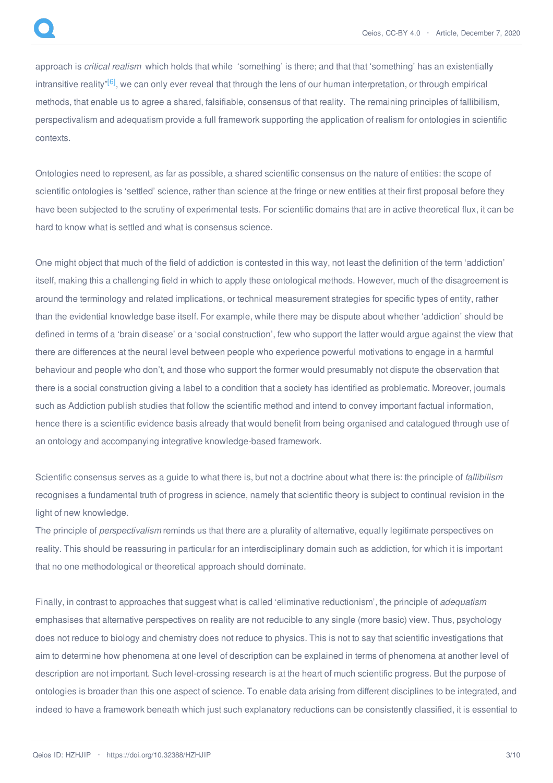<span id="page-2-0"></span>approach is *critical realism* which holds that while 'something' is there; and that that 'something' has an existentially intransitive reality"<sup>[\[6\]](#page-9-2)</sup>, we can only ever reveal that through the lens of our human interpretation, or through empirical methods, that enable us to agree a shared, falsifiable, consensus of that reality. The remaining principles of fallibilism, perspectivalism and adequatism provide a full framework supporting the application of realism for ontologies in scientific contexts.

Ontologies need to represent, as far as possible, a shared scientific consensus on the nature of entities: the scope of scientific ontologies is 'settled' science, rather than science at the fringe or new entities at their first proposal before they have been subjected to the scrutiny of experimental tests. For scientific domains that are in active theoretical flux, it can be hard to know what is settled and what is consensus science.

One might object that much of the field of addiction is contested in this way, not least the definition of the term 'addiction' itself, making this a challenging field in which to apply these ontological methods. However, much of the disagreement is around the terminology and related implications, or technical measurement strategies for specific types of entity, rather than the evidential knowledge base itself. For example, while there may be dispute about whether 'addiction' should be defined in terms of a 'brain disease' or a 'social construction', few who support the latter would argue against the view that there are differences at the neural level between people who experience powerful motivations to engage in a harmful behaviour and people who don't, and those who support the former would presumably not dispute the observation that there is a social construction giving a label to a condition that a society has identified as problematic. Moreover, journals such as Addiction publish studies that follow the scientific method and intend to convey important factual information, hence there is a scientific evidence basis already that would benefit from being organised and catalogued through use of an ontology and accompanying integrative knowledge-based framework.

Scientific consensus serves as a guide to what there is, but not a doctrine about what there is: the principle of *fallibilism* recognises a fundamental truth of progress in science, namely that scientific theory is subject to continual revision in the light of new knowledge.

The principle of *perspectivalism* reminds us that there are a plurality of alternative, equally legitimate perspectives on reality. This should be reassuring in particular for an interdisciplinary domain such as addiction, for which it is important that no one methodological or theoretical approach should dominate.

Finally, in contrast to approaches that suggest what is called 'eliminative reductionism', the principle of *adequatism* emphasises that alternative perspectives on reality are not reducible to any single (more basic) view. Thus, psychology does not reduce to biology and chemistry does not reduce to physics. This is not to say that scientific investigations that aim to determine how phenomena at one level of description can be explained in terms of phenomena at another level of description are not important. Such level-crossing research is at the heart of much scientific progress. But the purpose of ontologies is broader than this one aspect of science. To enable data arising from different disciplines to be integrated, and indeed to have a framework beneath which just such explanatory reductions can be consistently classified, it is essential to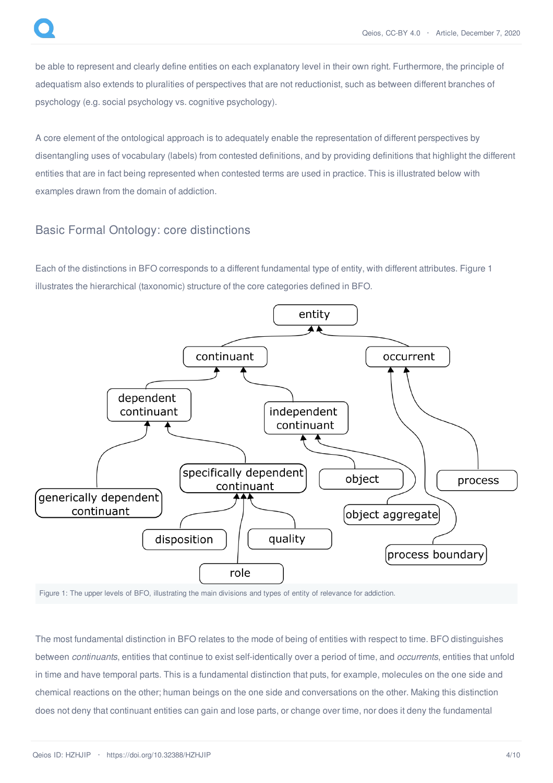be able to represent and clearly define entities on each explanatory level in their own right. Furthermore, the principle of adequatism also extends to pluralities of perspectives that are not reductionist, such as between different branches of psychology (e.g. social psychology vs. cognitive psychology).

A core element of the ontological approach is to adequately enable the representation of different perspectives by disentangling uses of vocabulary (labels) from contested definitions, and by providing definitions that highlight the different entities that are in fact being represented when contested terms are used in practice. This is illustrated below with examples drawn from the domain of addiction.

# Basic Formal Ontology: core distinctions

Each of the distinctions in BFO corresponds to a different fundamental type of entity, with different attributes. Figure 1 illustrates the hierarchical (taxonomic) structure of the core categories defined in BFO.



Figure 1: The upper levels of BFO, illustrating the main divisions and types of entity of relevance for addiction.

The most fundamental distinction in BFO relates to the mode of being of entities with respect to time. BFO distinguishes between *continuants*, entities that continue to exist self-identically over a period of time, and *occurrents*, entities that unfold in time and have temporal parts. This is a fundamental distinction that puts, for example, molecules on the one side and chemical reactions on the other; human beings on the one side and conversations on the other. Making this distinction does not deny that continuant entities can gain and lose parts, or change over time, nor does it deny the fundamental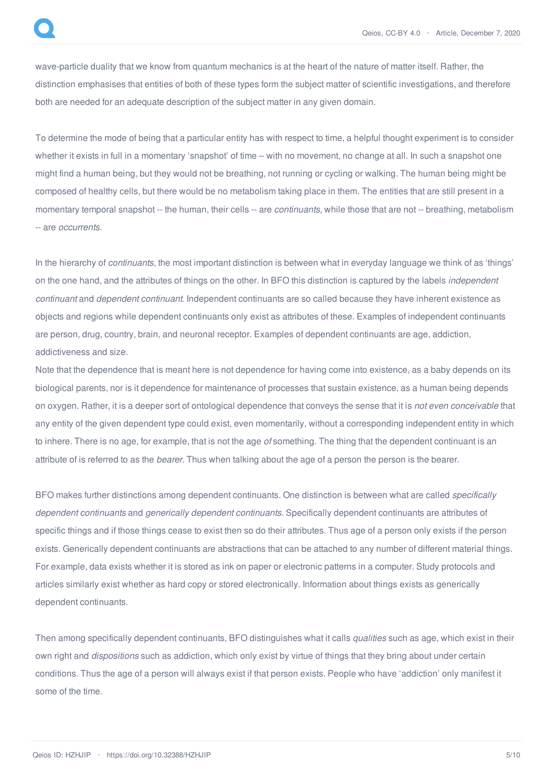wave-particle duality that we know from quantum mechanics is at the heart of the nature of matter itself. Rather, the distinction emphasises that entities of both of these types form the subject matter of scientific investigations, and therefore both are needed for an adequate description of the subject matter in any given domain.

To determine the mode of being that a particular entity has with respect to time, a helpful thought experiment is to consider whether it exists in full in a momentary 'snapshot' of time – with no movement, no change at all. In such a snapshot one might find a human being, but they would not be breathing, not running or cycling or walking. The human being might be composed of healthy cells, but there would be no metabolism taking place in them. The entities that are still present in a momentary temporal snapshot -- the human, their cells -- are *continuants*, while those that are not -- breathing, metabolism -- are *occurrents.*

In the hierarchy of *continuants*, the most important distinction is between what in everyday language we think of as 'things' on the one hand, and the attributes of things on the other. In BFO this distinction is captured by the labels *independent continuant* and *dependent continuant*. Independent continuants are so called because they have inherent existence as objects and regions while dependent continuants only exist as attributes of these. Examples of independent continuants are person, drug, country, brain, and neuronal receptor. Examples of dependent continuants are age, addiction, addictiveness and size.

Note that the dependence that is meant here is not dependence for having come into existence, as a baby depends on its biological parents, nor is it dependence for maintenance of processes that sustain existence, as a human being depends on oxygen. Rather, it is a deeper sort of ontological dependence that conveys the sense that it is *not even conceivable* that any entity of the given dependent type could exist, even momentarily, without a corresponding independent entity in which to inhere. There is no age, for example, that is not the age *of* something. The thing that the dependent continuant is an attribute of is referred to as the *bearer.* Thus when talking about the age of a person the person is the bearer.

BFO makes further distinctions among dependent continuants. One distinction is between what are called *specifically dependent continuants* and *generically dependent continuants.* Specifically dependent continuants are attributes of specific things and if those things cease to exist then so do their attributes. Thus age of a person only exists if the person exists. Generically dependent continuants are abstractions that can be attached to any number of different material things. For example, data exists whether it is stored as ink on paper or electronic patterns in a computer. Study protocols and articles similarly exist whether as hard copy or stored electronically. Information about things exists as generically dependent continuants.

Then among specifically dependent continuants, BFO distinguishes what it calls *qualities* such as age, which exist in their own right and *dispositions* such as addiction, which only exist by virtue of things that they bring about under certain conditions. Thus the age of a person will always exist if that person exists. People who have 'addiction' only manifest it some of the time.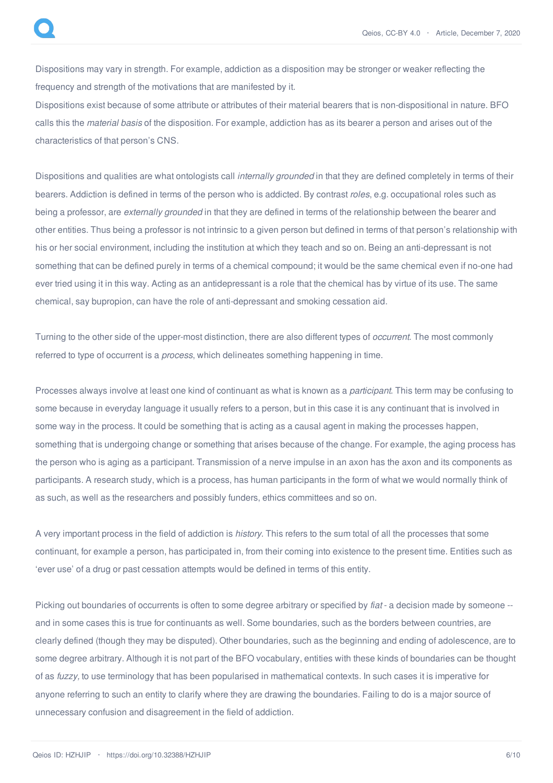Dispositions may vary in strength. For example, addiction as a disposition may be stronger or weaker reflecting the frequency and strength of the motivations that are manifested by it.

Dispositions exist because of some attribute or attributes of their material bearers that is non-dispositional in nature. BFO calls this the *material basis* of the disposition. For example, addiction has as its bearer a person and arises out of the characteristics of that person's CNS.

Dispositions and qualities are what ontologists call *internally grounded* in that they are defined completely in terms of their bearers. Addiction is defined in terms of the person who is addicted. By contrast *roles*, e.g. occupational roles such as being a professor, are *externally grounded* in that they are defined in terms of the relationship between the bearer and other entities. Thus being a professor is not intrinsic to a given person but defined in terms of that person's relationship with his or her social environment, including the institution at which they teach and so on. Being an anti-depressant is not something that can be defined purely in terms of a chemical compound; it would be the same chemical even if no-one had ever tried using it in this way. Acting as an antidepressant is a role that the chemical has by virtue of its use. The same chemical, say bupropion, can have the role of anti-depressant and smoking cessation aid.

Turning to the other side of the upper-most distinction, there are also different types of *occurrent*. The most commonly referred to type of occurrent is a *process*, which delineates something happening in time.

Processes always involve at least one kind of continuant as what is known as a *participant*. This term may be confusing to some because in everyday language it usually refers to a person, but in this case it is any continuant that is involved in some way in the process. It could be something that is acting as a causal agent in making the processes happen, something that is undergoing change or something that arises because of the change. For example, the aging process has the person who is aging as a participant. Transmission of a nerve impulse in an axon has the axon and its components as participants. A research study, which is a process, has human participants in the form of what we would normally think of as such, as well as the researchers and possibly funders, ethics committees and so on.

A very important process in the field of addiction is *history*. This refers to the sum total of all the processes that some continuant, for example a person, has participated in, from their coming into existence to the present time. Entities such as 'ever use' of a drug or past cessation attempts would be defined in terms of this entity.

Picking out boundaries of occurrents is often to some degree arbitrary or specified by *fiat* - a decision made by someone - and in some cases this is true for continuants as well. Some boundaries, such as the borders between countries, are clearly defined (though they may be disputed). Other boundaries, such as the beginning and ending of adolescence, are to some degree arbitrary. Although it is not part of the BFO vocabulary, entities with these kinds of boundaries can be thought of as *fuzzy,* to use terminology that has been popularised in mathematical contexts. In such cases it is imperative for anyone referring to such an entity to clarify where they are drawing the boundaries. Failing to do is a major source of unnecessary confusion and disagreement in the field of addiction.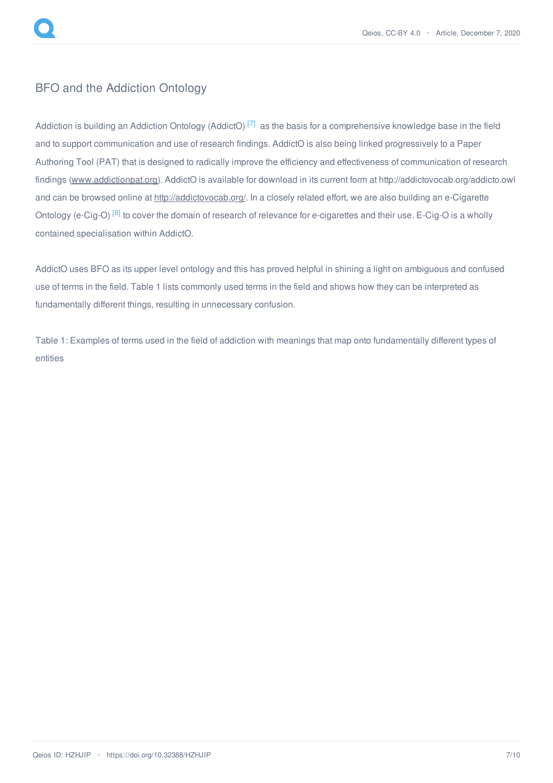

# BFO and the Addiction Ontology

<span id="page-6-0"></span>Addiction is building an Addiction Ontology (AddictO)<sup>[\[7\]](#page-9-3)</sup> as the basis for a comprehensive knowledge base in the field and to support communication and use of research findings. AddictO is also being linked progressively to a Paper Authoring Tool (PAT) that is designed to radically improve the efficiency and effectiveness of communication of research findings [\(www.addictionpat.org](http://www.addictionpat.org)). AddictO is available for download in its current form at http://addictovocab.org/addicto.owl and can be browsed online at <http://addictovocab.org/>. In a closely related effort, we are also building an e-Cigarette Ontology (e-Cig-O) <sup>[\[8\]](#page-9-4)</sup> to cover the domain of research of relevance for e-cigarettes and their use. E-Cig-O is a wholly contained specialisation within AddictO.

<span id="page-6-1"></span>AddictO uses BFO as its upper level ontology and this has proved helpful in shining a light on ambiguous and confused use of terms in the field. Table 1 lists commonly used terms in the field and shows how they can be interpreted as fundamentally different things, resulting in unnecessary confusion.

Table 1: Examples of terms used in the field of addiction with meanings that map onto fundamentally different types of entities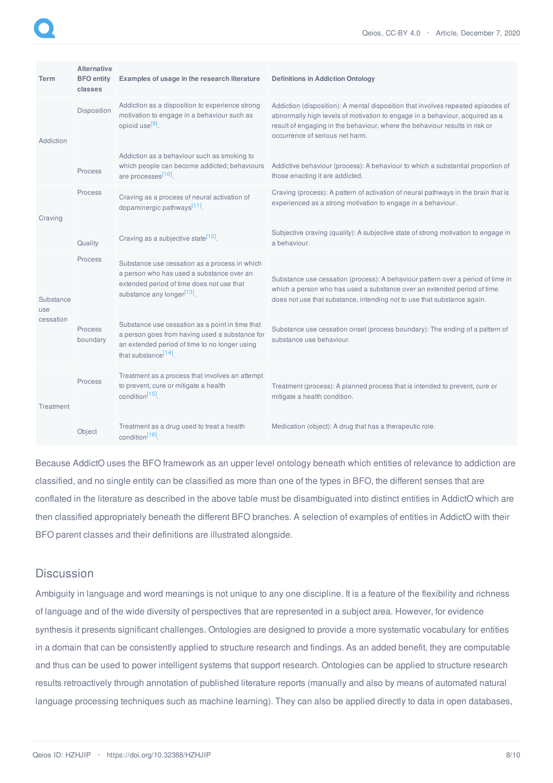<span id="page-7-3"></span><span id="page-7-2"></span><span id="page-7-1"></span><span id="page-7-0"></span>

| <b>Term</b>                   | <b>Alternative</b><br><b>BFO</b> entity<br>classes | Examples of usage in the research literature                                                                                                                                                                                 | <b>Definitions in Addiction Ontology</b>                                                                                                                                                                                                                                                                                                                              |
|-------------------------------|----------------------------------------------------|------------------------------------------------------------------------------------------------------------------------------------------------------------------------------------------------------------------------------|-----------------------------------------------------------------------------------------------------------------------------------------------------------------------------------------------------------------------------------------------------------------------------------------------------------------------------------------------------------------------|
| Addiction                     | Disposition<br>Process                             | Addiction as a disposition to experience strong<br>motivation to engage in a behaviour such as<br>opioid use <sup>[9]</sup> .<br>Addiction as a behaviour such as smoking to<br>which people can become addicted; behaviours | Addiction (disposition): A mental disposition that involves repeated episodes of<br>abnormally high levels of motivation to engage in a behaviour, acquired as a<br>result of engaging in the behaviour, where the behaviour results in risk or<br>occurrence of serious net harm.<br>Addictive behaviour (process): A behaviour to which a substantial proportion of |
|                               |                                                    | are processes <sup>[10]</sup> .                                                                                                                                                                                              | those enacting it are addicted.                                                                                                                                                                                                                                                                                                                                       |
| Craving                       | Process                                            | Craving as a process of neural activation of<br>dopaminergic pathways <sup>[11]</sup> .                                                                                                                                      | Craving (process): A pattern of activation of neural pathways in the brain that is<br>experienced as a strong motivation to engage in a behaviour.                                                                                                                                                                                                                    |
|                               | Quality                                            | Craving as a subjective state <sup>[12]</sup> .                                                                                                                                                                              | Subjective craving (quality): A subjective state of strong motivation to engage in<br>a behaviour.                                                                                                                                                                                                                                                                    |
| Substance<br>use<br>cessation | Process                                            | Substance use cessation as a process in which<br>a person who has used a substance over an<br>extended period of time does not use that<br>substance any longer <sup>[13]</sup> .                                            | Substance use cessation (process): A behaviour pattern over a period of time in<br>which a person who has used a substance over an extended period of time<br>does not use that substance, intending not to use that substance again.                                                                                                                                 |
|                               | Process<br>boundary                                | Substance use cessation as a point in time that<br>a person goes from having used a substance for<br>an extended period of time to no longer using<br>that substance <sup>[14]</sup> .                                       | Substance use cessation onset (process boundary): The ending of a pattern of<br>substance use behaviour.                                                                                                                                                                                                                                                              |
| Treatment                     | Process                                            | Treatment as a process that involves an attempt<br>to prevent, cure or mitigate a health<br>condition <sup>[15]</sup>                                                                                                        | Treatment (process): A planned process that is intended to prevent, cure or<br>mitigate a health condition.                                                                                                                                                                                                                                                           |
|                               | Object                                             | Treatment as a drug used to treat a health<br>condition <sup>[16]</sup> .                                                                                                                                                    | Medication (object): A drug that has a therapeutic role.                                                                                                                                                                                                                                                                                                              |

<span id="page-7-7"></span><span id="page-7-6"></span><span id="page-7-5"></span><span id="page-7-4"></span>Because AddictO uses the BFO framework as an upper level ontology beneath which entities of relevance to addiction are classified, and no single entity can be classified as more than one of the types in BFO, the different senses that are conflated in the literature as described in the above table must be disambiguated into distinct entities in AddictO which are then classified appropriately beneath the different BFO branches. A selection of examples of entities in AddictO with their BFO parent classes and their definitions are illustrated alongside.

# **Discussion**

Ambiguity in language and word meanings is not unique to any one discipline. It is a feature of the flexibility and richness of language and of the wide diversity of perspectives that are represented in a subject area. However, for evidence synthesis it presents significant challenges. Ontologies are designed to provide a more systematic vocabulary for entities in a domain that can be consistently applied to structure research and findings. As an added benefit, they are computable and thus can be used to power intelligent systems that support research. Ontologies can be applied to structure research results retroactively through annotation of published literature reports (manually and also by means of automated natural language processing techniques such as machine learning). They can also be applied directly to data in open databases,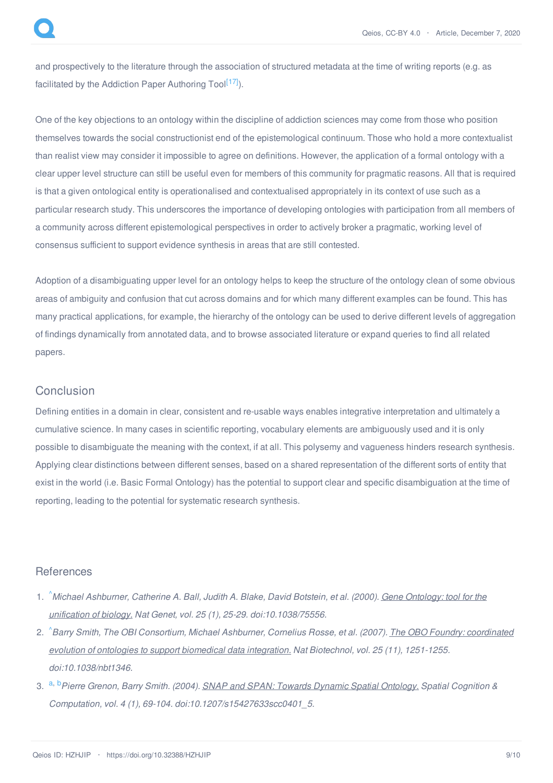<span id="page-8-3"></span>and prospectively to the literature through the association of structured metadata at the time of writing reports (e.g. as facilitated by the Addiction Paper Authoring Tool<sup>[\[17\]](#page-9-13)</sup>).

One of the key objections to an ontology within the discipline of addiction sciences may come from those who position themselves towards the social constructionist end of the epistemological continuum. Those who hold a more contextualist than realist view may consider it impossible to agree on definitions. However, the application of a formal ontology with a clear upper level structure can still be useful even for members of this community for pragmatic reasons. All that is required is that a given ontological entity is operationalised and contextualised appropriately in its context of use such as a particular research study. This underscores the importance of developing ontologies with participation from all members of a community across different epistemological perspectives in order to actively broker a pragmatic, working level of consensus sufficient to support evidence synthesis in areas that are still contested.

Adoption of a disambiguating upper level for an ontology helps to keep the structure of the ontology clean of some obvious areas of ambiguity and confusion that cut across domains and for which many different examples can be found. This has many practical applications, for example, the hierarchy of the ontology can be used to derive different levels of aggregation of findings dynamically from annotated data, and to browse associated literature or expand queries to find all related papers.

# **Conclusion**

Defining entities in a domain in clear, consistent and re-usable ways enables integrative interpretation and ultimately a cumulative science. In many cases in scientific reporting, vocabulary elements are ambiguously used and it is only possible to disambiguate the meaning with the context, if at all. This polysemy and vagueness hinders research synthesis. Applying clear distinctions between different senses, based on a shared representation of the different sorts of entity that exist in the world (i.e. Basic Formal Ontology) has the potential to support clear and specific disambiguation at the time of reporting, leading to the potential for systematic research synthesis.

#### **References**

- <span id="page-8-0"></span>1. Michael Ashburner, Catherine A. Ball, Judith A. Blake, David Botstein, et al. (2000). Gene Ontology: tool for the *unification of biology. Nat Genet, vol. 25 (1), 25-29. [doi:10.1038/75556.](http://dx.doi.org/10.1038/75556)*
- <span id="page-8-1"></span>2. [^](#page-1-1)Barry Smith, The OBI [Consortium,](http://dx.doi.org/10.1038/nbt1346) Michael Ashburner, Cornelius Rosse, et al. (2007). The OBO Foundry: coordinated *evolution of ontologies to support biomedical data integration. Nat Biotechnol, vol. 25 (11), 1251-1255. doi:10.1038/nbt1346.*
- <span id="page-8-2"></span>3. [a](#page-1-2), [b](#page-1-3)*Pierre Grenon, Barry Smith. (2004). SNAP and SPAN: Towards Dynamic Spatial [Ontology.](http://dx.doi.org/10.1207/s15427633scc0401_5) Spatial Cognition & Computation, vol. 4 (1), 69-104. doi:10.1207/s15427633scc0401\_5.*